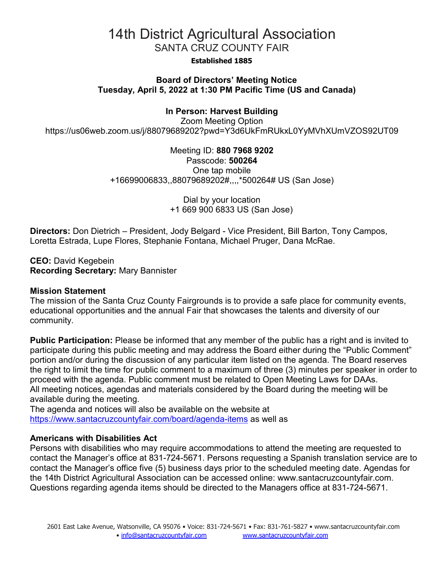#### **Established 1885**

# **Board of Directors' Meeting Notice Tuesday, April 5, 2022 at 1:30 PM Pacific Time (US and Canada)**

# **In Person: Harvest Building**

Zoom Meeting Option https://us06web.zoom.us/j/88079689202?pwd=Y3d6UkFmRUkxL0YyMVhXUmVZOS92UT09

> Meeting ID: **880 7968 9202** Passcode: **500264** One tap mobile +16699006833,,88079689202#,,,,\*500264# US (San Jose)

> > Dial by your location +1 669 900 6833 US (San Jose)

**Directors:** Don Dietrich – President, Jody Belgard - Vice President, Bill Barton, Tony Campos, Loretta Estrada, Lupe Flores, Stephanie Fontana, Michael Pruger, Dana McRae.

**CEO:** David Kegebein **Recording Secretary:** Mary Bannister

#### **Mission Statement**

The mission of the Santa Cruz County Fairgrounds is to provide a safe place for community events, educational opportunities and the annual Fair that showcases the talents and diversity of our community.

**Public Participation:** Please be informed that any member of the public has a right and is invited to participate during this public meeting and may address the Board either during the "Public Comment" portion and/or during the discussion of any particular item listed on the agenda. The Board reserves the right to limit the time for public comment to a maximum of three (3) minutes per speaker in order to proceed with the agenda. Public comment must be related to Open Meeting Laws for DAAs. All meeting notices, agendas and materials considered by the Board during the meeting will be available during the meeting.

The agenda and notices will also be available on the website at <https://www.santacruzcountyfair.com/board/agenda-items> as well as

### **Americans with Disabilities Act**

Persons with disabilities who may require accommodations to attend the meeting are requested to contact the Manager's office at 831-724-5671. Persons requesting a Spanish translation service are to contact the Manager's office five (5) business days prior to the scheduled meeting date. Agendas for the 14th District Agricultural Association can be accessed online: [www.santacruzcountyfair.com.](http://www.santacruzcountyfair.com/) Questions regarding agenda items should be directed to the Managers office at 831-724-5671.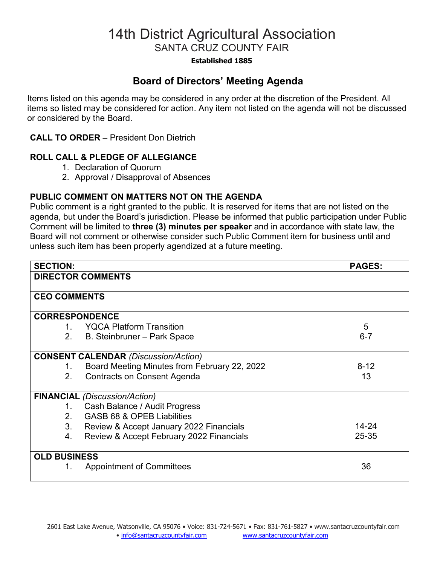### **Established 1885**

# **Board of Directors' Meeting Agenda**

Items listed on this agenda may be considered in any order at the discretion of the President. All items so listed may be considered for action. Any item not listed on the agenda will not be discussed or considered by the Board.

# **CALL TO ORDER** – President Don Dietrich

# **ROLL CALL & PLEDGE OF ALLEGIANCE**

- 1. Declaration of Quorum
- 2. Approval / Disapproval of Absences

# **PUBLIC COMMENT ON MATTERS NOT ON THE AGENDA**

Public comment is a right granted to the public. It is reserved for items that are not listed on the agenda, but under the Board's jurisdiction. Please be informed that public participation under Public Comment will be limited to **three (3) minutes per speaker** and in accordance with state law, the Board will not comment or otherwise consider such Public Comment item for business until and unless such item has been properly agendized at a future meeting.

| <b>SECTION:</b>       |                                              | <b>PAGES:</b> |
|-----------------------|----------------------------------------------|---------------|
|                       | <b>DIRECTOR COMMENTS</b>                     |               |
|                       |                                              |               |
| <b>CEO COMMENTS</b>   |                                              |               |
| <b>CORRESPONDENCE</b> |                                              |               |
| 1.                    | <b>YQCA Platform Transition</b>              | 5             |
| 2.                    | B. Steinbruner – Park Space                  | $6 - 7$       |
|                       | <b>CONSENT CALENDAR (Discussion/Action)</b>  |               |
| 1.                    | Board Meeting Minutes from February 22, 2022 | $8 - 12$      |
| 2 <sub>1</sub>        | <b>Contracts on Consent Agenda</b>           | 13            |
|                       | <b>FINANCIAL</b> (Discussion/Action)         |               |
| 1.                    | Cash Balance / Audit Progress                |               |
| $2_{1}$               | GASB 68 & OPEB Liabilities                   |               |
| 3 <sub>1</sub>        | Review & Accept January 2022 Financials      | $14 - 24$     |
| 4.                    | Review & Accept February 2022 Financials     | 25-35         |
| <b>OLD BUSINESS</b>   |                                              |               |
| 1.                    | <b>Appointment of Committees</b>             | 36            |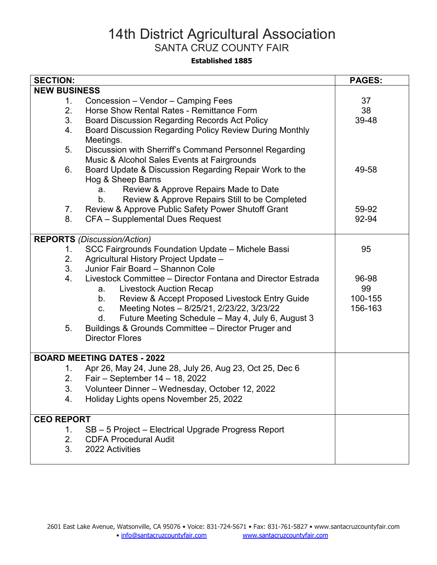#### **Established 1885**

| <b>SECTION:</b>                    |                                                               | <b>PAGES:</b> |  |
|------------------------------------|---------------------------------------------------------------|---------------|--|
| <b>NEW BUSINESS</b>                |                                                               |               |  |
| 1.                                 | Concession - Vendor - Camping Fees                            | 37            |  |
| 2.                                 | Horse Show Rental Rates - Remittance Form                     | 38            |  |
| 3.                                 | Board Discussion Regarding Records Act Policy                 | 39-48         |  |
| 4.                                 | Board Discussion Regarding Policy Review During Monthly       |               |  |
|                                    | Meetings.                                                     |               |  |
| 5.                                 | Discussion with Sherriff's Command Personnel Regarding        |               |  |
|                                    | Music & Alcohol Sales Events at Fairgrounds                   |               |  |
| 6.                                 | Board Update & Discussion Regarding Repair Work to the        | 49-58         |  |
|                                    | Hog & Sheep Barns                                             |               |  |
|                                    | Review & Approve Repairs Made to Date<br>a.                   |               |  |
|                                    | Review & Approve Repairs Still to be Completed<br>$b_{\cdot}$ |               |  |
| 7.                                 | Review & Approve Public Safety Power Shutoff Grant            | 59-92         |  |
| 8.                                 | CFA - Supplemental Dues Request                               | 92-94         |  |
|                                    |                                                               |               |  |
| <b>REPORTS</b> (Discussion/Action) |                                                               |               |  |
| 1.                                 | SCC Fairgrounds Foundation Update - Michele Bassi             | 95            |  |
| 2.                                 | Agricultural History Project Update -                         |               |  |
| 3 <sub>1</sub>                     | Junior Fair Board - Shannon Cole                              |               |  |
| 4.                                 | Livestock Committee – Director Fontana and Director Estrada   | 96-98         |  |
|                                    | <b>Livestock Auction Recap</b><br>a.                          | 99            |  |
|                                    | Review & Accept Proposed Livestock Entry Guide<br>b.          | 100-155       |  |
|                                    | Meeting Notes - 8/25/21, 2/23/22, 3/23/22<br>$C_{-}$          | 156-163       |  |
|                                    | Future Meeting Schedule - May 4, July 6, August 3<br>d.       |               |  |
| 5.                                 | Buildings & Grounds Committee - Director Pruger and           |               |  |
|                                    | <b>Director Flores</b>                                        |               |  |
|                                    |                                                               |               |  |
| <b>BOARD MEETING DATES - 2022</b>  |                                                               |               |  |
| 1.                                 | Apr 26, May 24, June 28, July 26, Aug 23, Oct 25, Dec 6       |               |  |
| 2.                                 | Fair - September 14 - 18, 2022                                |               |  |
| 3.                                 | Volunteer Dinner - Wednesday, October 12, 2022                |               |  |
| 4.                                 | Holiday Lights opens November 25, 2022                        |               |  |
|                                    |                                                               |               |  |
| <b>CEO REPORT</b>                  |                                                               |               |  |
| 1.                                 | SB - 5 Project - Electrical Upgrade Progress Report           |               |  |
| 2.                                 | <b>CDFA Procedural Audit</b>                                  |               |  |
| 3.                                 | 2022 Activities                                               |               |  |
|                                    |                                                               |               |  |